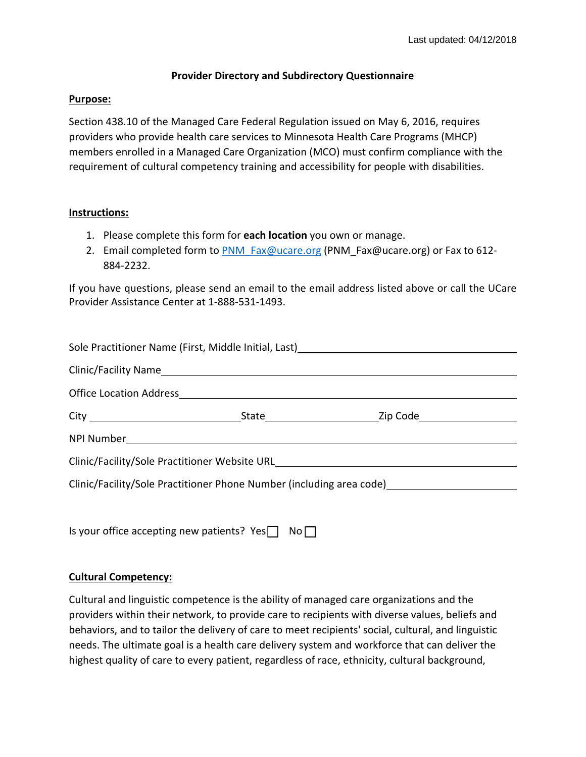## **Provider Directory and Subdirectory Questionnaire**

### **Purpose:**

Section 438.10 of the Managed Care Federal Regulation issued on May 6, 2016, requires providers who provide health care services to Minnesota Health Care Programs (MHCP) members enrolled in a Managed Care Organization (MCO) must confirm compliance with the requirement of cultural competency training and accessibility for people with disabilities.

### **Instructions:**

- 1. Please complete this form for **each location** you own or manage.
- 2. Email completed form to PNM\_Fax@ucare.org (PNM\_Fax@ucare.org) or Fax to 612-884‐2232.

If you have questions, please send an email to the email address listed above or call the UCare Provider Assistance Center at 1‐888‐531‐1493.

| Sole Practitioner Name (First, Middle Initial, Last)<br>1988 - The Practitioner Name (First, Middle Initial, Last)<br>2008 - The Practitioner Name (First, Middle Initial, Last) |  |  |
|----------------------------------------------------------------------------------------------------------------------------------------------------------------------------------|--|--|
|                                                                                                                                                                                  |  |  |
|                                                                                                                                                                                  |  |  |
|                                                                                                                                                                                  |  |  |
|                                                                                                                                                                                  |  |  |
| Clinic/Facility/Sole Practitioner Website URL___________________________________                                                                                                 |  |  |
| Clinic/Facility/Sole Practitioner Phone Number (including area code) [19] Clinic/Facility/Sole Practitioner Phone Number (including area code)                                   |  |  |

Is your office accepting new patients?  $Yes \Box No \Box$ 

### **Cultural Competency:**

Cultural and linguistic competence is the ability of managed care organizations and the providers within their network, to provide care to recipients with diverse values, beliefs and behaviors, and to tailor the delivery of care to meet recipients' social, cultural, and linguistic needs. The ultimate goal is a health care delivery system and workforce that can deliver the highest quality of care to every patient, regardless of race, ethnicity, cultural background,